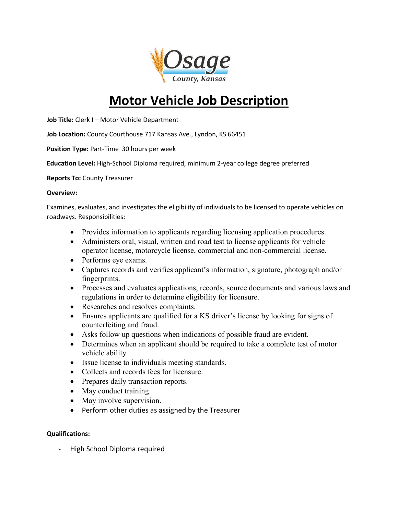

# **Motor Vehicle Job Description**

**Job Title:** Clerk I – Motor Vehicle Department

**Job Location:** County Courthouse 717 Kansas Ave., Lyndon, KS 66451

**Position Type:** Part-Time 30 hours per week

**Education Level:** High-School Diploma required, minimum 2-year college degree preferred

**Reports To:** County Treasurer

#### **Overview:**

Examines, evaluates, and investigates the eligibility of individuals to be licensed to operate vehicles on roadways. Responsibilities:

- Provides information to applicants regarding licensing application procedures.
- Administers oral, visual, written and road test to license applicants for vehicle operator license, motorcycle license, commercial and non-commercial license.
- Performs eye exams.
- Captures records and verifies applicant's information, signature, photograph and/or fingerprints.
- Processes and evaluates applications, records, source documents and various laws and regulations in order to determine eligibility for licensure.
- Researches and resolves complaints.
- Ensures applicants are qualified for a KS driver's license by looking for signs of counterfeiting and fraud.
- Asks follow up questions when indications of possible fraud are evident.
- Determines when an applicant should be required to take a complete test of motor vehicle ability.
- Issue license to individuals meeting standards.
- Collects and records fees for licensure.
- Prepares daily transaction reports.
- May conduct training.
- May involve supervision.
- Perform other duties as assigned by the Treasurer

# **Qualifications:**

High School Diploma required